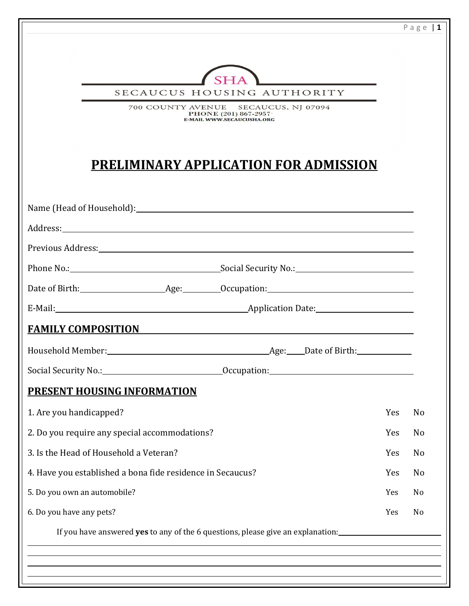|                                                            |                                                                           |     | Page $1$ |
|------------------------------------------------------------|---------------------------------------------------------------------------|-----|----------|
|                                                            |                                                                           |     |          |
|                                                            | SECAUCUS HOUSING AUTHORITY                                                |     |          |
|                                                            | 700 COUNTY AVENUE SECAUCUS, NJ 07094<br>PHONE (201) 867-2957              |     |          |
|                                                            | E-MAIL WWW.SECAUCUSHA.ORG                                                 |     |          |
|                                                            |                                                                           |     |          |
|                                                            | <b>PRELIMINARY APPLICATION FOR ADMISSION</b>                              |     |          |
|                                                            |                                                                           |     |          |
|                                                            |                                                                           |     |          |
|                                                            |                                                                           |     |          |
|                                                            |                                                                           |     |          |
|                                                            |                                                                           |     |          |
|                                                            |                                                                           |     |          |
|                                                            | E-Mail: Application Date: Application Date:                               |     |          |
| <b>FAMILY COMPOSITION</b>                                  | <u> 1980 - Andrea Station Barbara, actor a component de la componenta</u> |     |          |
|                                                            |                                                                           |     |          |
|                                                            |                                                                           |     |          |
| <b>PRESENT HOUSING INFORMATION</b>                         |                                                                           |     |          |
| 1. Are you handicapped?                                    |                                                                           | Yes | No       |
| 2. Do you require any special accommodations?              |                                                                           | Yes | No       |
| 3. Is the Head of Household a Veteran?                     |                                                                           | Yes | No       |
| 4. Have you established a bona fide residence in Secaucus? |                                                                           | Yes | No       |
|                                                            |                                                                           | Yes | No       |
| 5. Do you own an automobile?                               |                                                                           | Yes | No       |
| 6. Do you have any pets?                                   |                                                                           |     |          |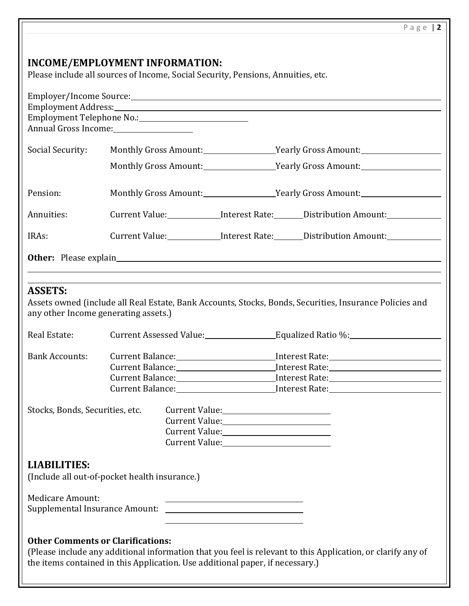# **INCOME/EMPLOYMENT INFORMATION:** Please include all sources of Income, Social Security, Pensions, Annuities, etc. Employer/Income Source: Employment Address: Employment Telephone No.: Annual Gross Income: Social Security: Monthly Gross Amount: Yearly Gross Amount: Monthly Gross Amount: Yearly Gross Amount: Pension: Monthly Gross Amount: Yearly Gross Amount: Annuities: Current Value: Interest Rate: Distribution Amount: IRAs: Current Value: Interest Rate: Distribution Amount: **Other:** Please explain **ASSETS:** Assets owned (include all Real Estate, Bank Accounts, Stocks, Bonds, Securities, Insurance Policies and any other Income generating assets.) Real Estate: Current Assessed Value: Equalized Ratio %: Current Assessed Value: Bank Accounts: Current Balance: Interest Rate: Interest Rate: Current Balance: Interest Rate: Current Balance: Interest Rate: **Current Balance:** The Interest Rate: Stocks, Bonds, Securities, etc. Current Value: Current Value:<br>
<u>Letter and the contract of the contract of the contract of the contract of the contract of the contract of the contract of the contract of the contract of the contract of the contract of the contract of th</u> Current Value: Current Value: **LIABILITIES:** (Include all out-of-pocket health insurance.) Medicare Amount: Supplemental Insurance Amount: **Other Comments or Clarifications:** (Please include any additional information that you feel is relevant to this Application, or clarify any of the items contained in this Application. Use additional paper, if necessary.)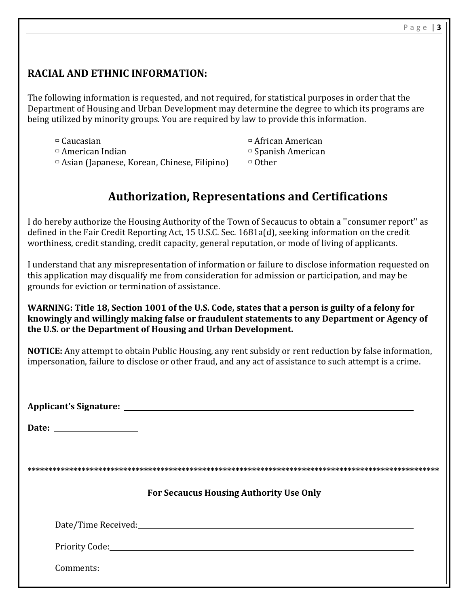## **RACIAL AND ETHNIC INFORMATION:**

The following information is requested, and not required, for statistical purposes in order that the Department of Housing and Urban Development may determine the degree to which its programs are being utilized by minority groups. You are required by law to provide this information.

 $\Box$  Caucasian  $\Box$  Caucasian  $\Box$  African American  $\Box$  American Indian  $\Box$  Spanish American  $\Box$  Asian (Japanese, Korean, Chinese, Filipino)  $\Box$  Other

## **Authorization, Representations and Certifications**

I do hereby authorize the Housing Authority of the Town of Secaucus to obtain a ''consumer report'' as defined in the Fair Credit Reporting Act, 15 U.S.C. Sec. 1681a(d), seeking information on the credit worthiness, credit standing, credit capacity, general reputation, or mode of living of applicants.

I understand that any misrepresentation of information or failure to disclose information requested on this application may disqualify me from consideration for admission or participation, and may be grounds for eviction or termination of assistance.

#### **WARNING: Title 18, Section 1001 of the U.S. Code, states that a person is guilty of a felony for knowingly and willingly making false or fraudulent statements to any Department or Agency of the U.S. or the Department of Housing and Urban Development.**

**NOTICE:** Any attempt to obtain Public Housing, any rent subsidy or rent reduction by false information, impersonation, failure to disclose or other fraud, and any act of assistance to such attempt is a crime.

**Applicant's Signature:** 

**Date:** 

**\*\*\*\*\*\*\*\*\*\*\*\*\*\*\*\*\*\*\*\*\*\*\*\*\*\*\*\*\*\*\*\*\*\*\*\*\*\*\*\*\*\*\*\*\*\*\*\*\*\*\*\*\*\*\*\*\*\*\*\*\*\*\*\*\*\*\*\*\*\*\*\*\*\*\*\*\*\*\*\*\*\*\*\*\*\*\*\*\*\*\*\*\*\*\*\*\*\*\***

## **For Secaucus Housing Authority Use Only**

Date/Time Received:

Priority Code:

Comments: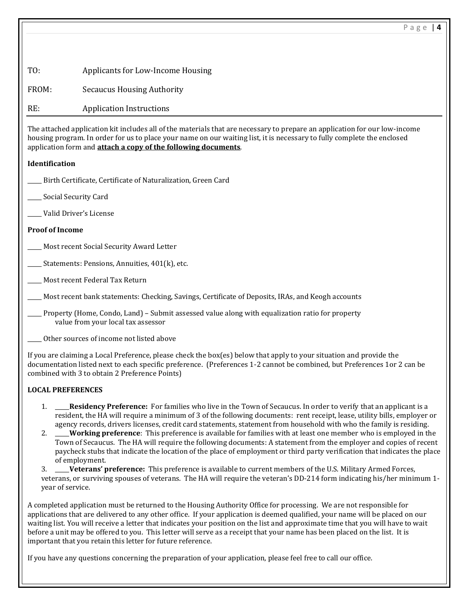| T0: | Applicants for Low-Income Housing |  |
|-----|-----------------------------------|--|
|     |                                   |  |

FROM: Secaucus Housing Authority

RE: Application Instructions

The attached application kit includes all of the materials that are necessary to prepare an application for our low-income housing program. In order for us to place your name on our waiting list, it is necessary to fully complete the enclosed application form and **attach a copy of the following documents**.

### **Identification**

- Birth Certificate, Certificate of Naturalization, Green Card
- Social Security Card
- \_\_\_\_\_ Valid Driver's License

## **Proof of Income**

- Most recent Social Security Award Letter
- Statements: Pensions, Annuities, 401(k), etc.
- \_\_\_\_\_ Most recent Federal Tax Return
- \_\_\_\_\_ Most recent bank statements: Checking, Savings, Certificate of Deposits, IRAs, and Keogh accounts
	- \_\_\_\_\_ Property (Home, Condo, Land) Submit assessed value along with equalization ratio for property value from your local tax assessor
- \_\_\_\_\_ Other sources of income not listed above

If you are claiming a Local Preference, please check the box(es) below that apply to your situation and provide the documentation listed next to each specific preference. (Preferences 1-2 cannot be combined, but Preferences 1or 2 can be combined with 3 to obtain 2 Preference Points)

## **LOCAL PREFERENCES**

- 1. \_\_\_\_\_**Residency Preference:** For families who live in the Town of Secaucus. In order to verify that an applicant is a resident, the HA will require a minimum of 3 of the following documents: rent receipt, lease, utility bills, employer or agency records, drivers licenses, credit card statements, statement from household with who the family is residing.
- 2. \_\_\_\_\_**Working preference**: This preference is available for families with at least one member who is employed in the Town of Secaucus. The HA will require the following documents: A statement from the employer and copies of recent paycheck stubs that indicate the location of the place of employment or third party verification that indicates the place of employment.

3. \_\_\_\_\_**Veterans' preference:** This preference is available to current members of the U.S. Military Armed Forces, veterans, or surviving spouses of veterans. The HA will require the veteran's DD-214 form indicating his/her minimum 1 year of service.

A completed application must be returned to the Housing Authority Office for processing. We are not responsible for applications that are delivered to any other office. If your application is deemed qualified, your name will be placed on our waiting list. You will receive a letter that indicates your position on the list and approximate time that you will have to wait before a unit may be offered to you. This letter will serve as a receipt that your name has been placed on the list. It is important that you retain this letter for future reference.

If you have any questions concerning the preparation of your application, please feel free to call our office.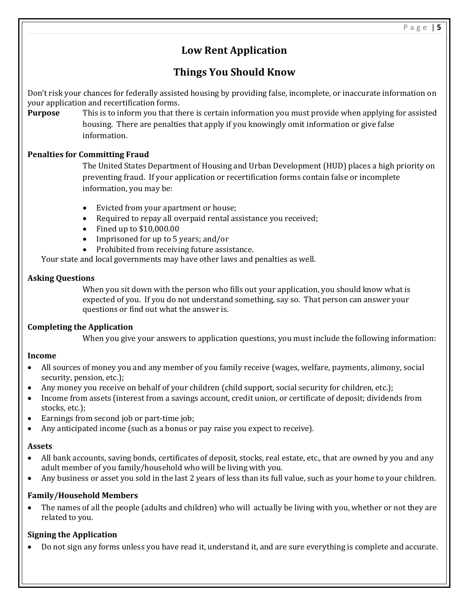## **Low Rent Application**

## **Things You Should Know**

Don't risk your chances for federally assisted housing by providing false, incomplete, or inaccurate information on your application and recertification forms.

**Purpose** This is to inform you that there is certain information you must provide when applying for assisted housing. There are penalties that apply if you knowingly omit information or give false information.

#### **Penalties for Committing Fraud**

The United States Department of Housing and Urban Development (HUD) places a high priority on preventing fraud. If your application or recertification forms contain false or incomplete information, you may be:

- Evicted from your apartment or house;
- Required to repay all overpaid rental assistance you received;
- $\bullet$  Fined up to \$10,000.00
- Imprisoned for up to 5 years; and/or
- Prohibited from receiving future assistance.

Your state and local governments may have other laws and penalties as well.

#### **Asking Questions**

When you sit down with the person who fills out your application, you should know what is expected of you. If you do not understand something, say so. That person can answer your questions or find out what the answer is.

#### **Completing the Application**

When you give your answers to application questions, you must include the following information:

#### **Income**

- All sources of money you and any member of you family receive (wages, welfare, payments, alimony, social security, pension, etc.);
- Any money you receive on behalf of your children (child support, social security for children, etc.);
- Income from assets (interest from a savings account, credit union, or certificate of deposit; dividends from stocks, etc.);
- Earnings from second job or part-time job;
- Any anticipated income (such as a bonus or pay raise you expect to receive).

#### **Assets**

- All bank accounts, saving bonds, certificates of deposit, stocks, real estate, etc., that are owned by you and any adult member of you family/household who will be living with you.
- Any business or asset you sold in the last 2 years of less than its full value, such as your home to your children.

#### **Family/Household Members**

 The names of all the people (adults and children) who will actually be living with you, whether or not they are related to you.

## **Signing the Application**

Do not sign any forms unless you have read it, understand it, and are sure everything is complete and accurate.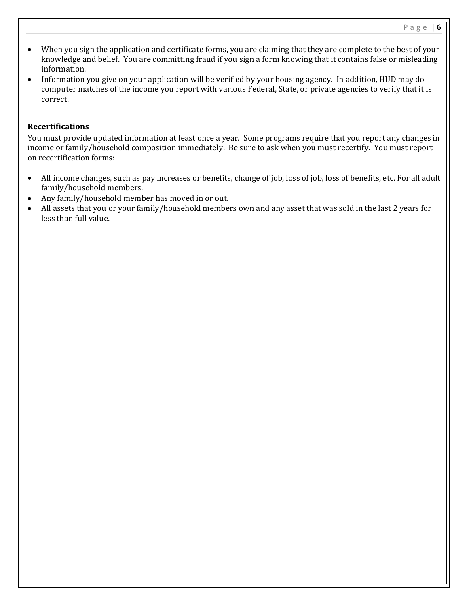- When you sign the application and certificate forms, you are claiming that they are complete to the best of your knowledge and belief. You are committing fraud if you sign a form knowing that it contains false or misleading information.
- Information you give on your application will be verified by your housing agency. In addition, HUD may do computer matches of the income you report with various Federal, State, or private agencies to verify that it is correct.

#### **Recertifications**

You must provide updated information at least once a year. Some programs require that you report any changes in income or family/household composition immediately. Be sure to ask when you must recertify. You must report on recertification forms:

- All income changes, such as pay increases or benefits, change of job, loss of job, loss of benefits, etc. For all adult family/household members.
- Any family/household member has moved in or out.
- All assets that you or your family/household members own and any asset that was sold in the last 2 years for less than full value.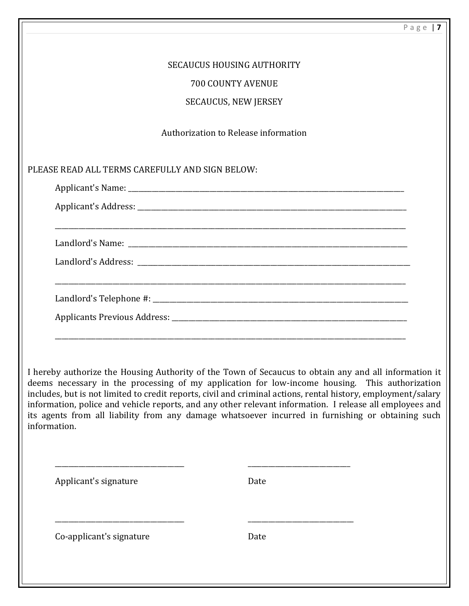|                                                 |                                                                                                                                                                                                                                                                                                                                                                                                                                                                                                                                           | Page   $7$ |
|-------------------------------------------------|-------------------------------------------------------------------------------------------------------------------------------------------------------------------------------------------------------------------------------------------------------------------------------------------------------------------------------------------------------------------------------------------------------------------------------------------------------------------------------------------------------------------------------------------|------------|
|                                                 | <b>SECAUCUS HOUSING AUTHORITY</b>                                                                                                                                                                                                                                                                                                                                                                                                                                                                                                         |            |
|                                                 | <b>700 COUNTY AVENUE</b>                                                                                                                                                                                                                                                                                                                                                                                                                                                                                                                  |            |
|                                                 | <b>SECAUCUS, NEW JERSEY</b>                                                                                                                                                                                                                                                                                                                                                                                                                                                                                                               |            |
|                                                 | Authorization to Release information                                                                                                                                                                                                                                                                                                                                                                                                                                                                                                      |            |
| PLEASE READ ALL TERMS CAREFULLY AND SIGN BELOW: |                                                                                                                                                                                                                                                                                                                                                                                                                                                                                                                                           |            |
|                                                 |                                                                                                                                                                                                                                                                                                                                                                                                                                                                                                                                           |            |
|                                                 |                                                                                                                                                                                                                                                                                                                                                                                                                                                                                                                                           |            |
|                                                 |                                                                                                                                                                                                                                                                                                                                                                                                                                                                                                                                           |            |
|                                                 |                                                                                                                                                                                                                                                                                                                                                                                                                                                                                                                                           |            |
|                                                 |                                                                                                                                                                                                                                                                                                                                                                                                                                                                                                                                           |            |
|                                                 |                                                                                                                                                                                                                                                                                                                                                                                                                                                                                                                                           |            |
|                                                 |                                                                                                                                                                                                                                                                                                                                                                                                                                                                                                                                           |            |
|                                                 |                                                                                                                                                                                                                                                                                                                                                                                                                                                                                                                                           |            |
| information.                                    | I hereby authorize the Housing Authority of the Town of Secaucus to obtain any and all information it<br>deems necessary in the processing of my application for low-income housing. This authorization<br>includes, but is not limited to credit reports, civil and criminal actions, rental history, employment/salary<br>information, police and vehicle reports, and any other relevant information. I release all employees and<br>its agents from all liability from any damage whatsoever incurred in furnishing or obtaining such |            |
| Applicant's signature                           | Date                                                                                                                                                                                                                                                                                                                                                                                                                                                                                                                                      |            |
| Co-applicant's signature                        | Date                                                                                                                                                                                                                                                                                                                                                                                                                                                                                                                                      |            |
|                                                 |                                                                                                                                                                                                                                                                                                                                                                                                                                                                                                                                           |            |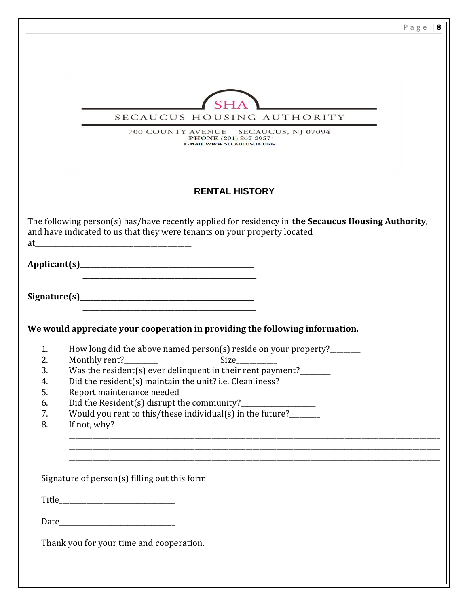|          | Page $8$                                                                                                                   |
|----------|----------------------------------------------------------------------------------------------------------------------------|
|          |                                                                                                                            |
|          |                                                                                                                            |
|          |                                                                                                                            |
|          |                                                                                                                            |
|          |                                                                                                                            |
|          | SECAUCUS HOUSING AUTHORITY                                                                                                 |
|          | 700 COUNTY AVENUE SECAUCUS, NJ 07094                                                                                       |
|          | <b>PHONE</b> (201) 867-2957<br><b>E-MAIL WWW.SECAUCUSHA.ORG</b>                                                            |
|          |                                                                                                                            |
|          |                                                                                                                            |
|          | <b>RENTAL HISTORY</b>                                                                                                      |
|          |                                                                                                                            |
|          | The following person(s) has/have recently applied for residency in the Secaucus Housing Authority,                         |
|          | and have indicated to us that they were tenants on your property located                                                   |
| at       |                                                                                                                            |
|          |                                                                                                                            |
|          |                                                                                                                            |
|          |                                                                                                                            |
|          |                                                                                                                            |
|          |                                                                                                                            |
|          | We would appreciate your cooperation in providing the following information.                                               |
|          |                                                                                                                            |
| 1.<br>2. | How long did the above named person(s) reside on your property?_______<br>Monthly rent?__<br>$\overline{\phantom{a}}$ Size |
| 3.       | Was the resident(s) ever delinquent in their rent payment?______                                                           |
| 4.       | Did the resident(s) maintain the unit? i.e. Cleanliness?___________                                                        |
| 5.       | Report maintenance needed_                                                                                                 |
| 6.       |                                                                                                                            |
| 7.       | Would you rent to this/these individual(s) in the future?                                                                  |
| 8.       | If not, why?                                                                                                               |
|          |                                                                                                                            |
|          | <u> 1989 - Johann Stoff, amerikansk politiker (d. 1989)</u>                                                                |
|          |                                                                                                                            |
|          |                                                                                                                            |
|          |                                                                                                                            |
|          |                                                                                                                            |
|          |                                                                                                                            |
|          |                                                                                                                            |
|          | Thank you for your time and cooperation.                                                                                   |
|          |                                                                                                                            |
|          |                                                                                                                            |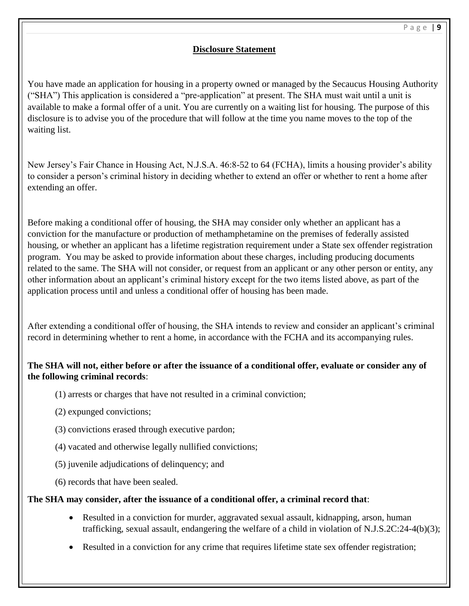### **Disclosure Statement**

You have made an application for housing in a property owned or managed by the Secaucus Housing Authority ("SHA") This application is considered a "pre-application" at present. The SHA must wait until a unit is available to make a formal offer of a unit. You are currently on a waiting list for housing. The purpose of this disclosure is to advise you of the procedure that will follow at the time you name moves to the top of the waiting list.

New Jersey's Fair Chance in Housing Act, N.J.S.A. 46:8-52 to 64 (FCHA), limits a housing provider's ability to consider a person's criminal history in deciding whether to extend an offer or whether to rent a home after extending an offer.

Before making a conditional offer of housing, the SHA may consider only whether an applicant has a conviction for the manufacture or production of methamphetamine on the premises of federally assisted housing, or whether an applicant has a lifetime registration requirement under a State sex offender registration program. You may be asked to provide information about these charges, including producing documents related to the same. The SHA will not consider, or request from an applicant or any other person or entity, any other information about an applicant's criminal history except for the two items listed above, as part of the application process until and unless a conditional offer of housing has been made.

After extending a conditional offer of housing, the SHA intends to review and consider an applicant's criminal record in determining whether to rent a home, in accordance with the FCHA and its accompanying rules.

## **The SHA will not, either before or after the issuance of a conditional offer, evaluate or consider any of the following criminal records**:

- (1) arrests or charges that have not resulted in a criminal conviction;
- (2) expunged convictions;
- (3) convictions erased through executive pardon;
- (4) vacated and otherwise legally nullified convictions;
- (5) juvenile adjudications of delinquency; and
- (6) records that have been sealed.

#### **The SHA may consider, after the issuance of a conditional offer, a criminal record that**:

- Resulted in a conviction for murder, aggravated sexual assault, kidnapping, arson, human trafficking, sexual assault, endangering the welfare of a child in violation of N.J.S.2C:24-4(b)(3);
- Resulted in a conviction for any crime that requires lifetime state sex offender registration;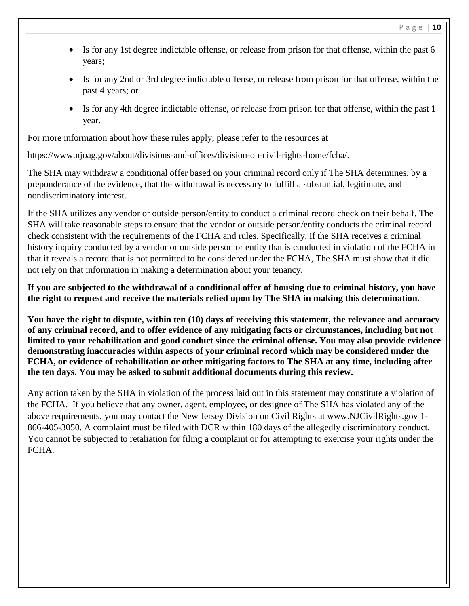- Is for any 1st degree indictable offense, or release from prison for that offense, within the past 6 years;
- Is for any 2nd or 3rd degree indictable offense, or release from prison for that offense, within the past 4 years; or
- Is for any 4th degree indictable offense, or release from prison for that offense, within the past 1 year.

For more information about how these rules apply, please refer to the resources at

https://www.njoag.gov/about/divisions-and-offices/division-on-civil-rights-home/fcha/.

The SHA may withdraw a conditional offer based on your criminal record only if The SHA determines, by a preponderance of the evidence, that the withdrawal is necessary to fulfill a substantial, legitimate, and nondiscriminatory interest.

If the SHA utilizes any vendor or outside person/entity to conduct a criminal record check on their behalf, The SHA will take reasonable steps to ensure that the vendor or outside person/entity conducts the criminal record check consistent with the requirements of the FCHA and rules. Specifically, if the SHA receives a criminal history inquiry conducted by a vendor or outside person or entity that is conducted in violation of the FCHA in that it reveals a record that is not permitted to be considered under the FCHA, The SHA must show that it did not rely on that information in making a determination about your tenancy.

**If you are subjected to the withdrawal of a conditional offer of housing due to criminal history, you have the right to request and receive the materials relied upon by The SHA in making this determination.** 

**You have the right to dispute, within ten (10) days of receiving this statement, the relevance and accuracy of any criminal record, and to offer evidence of any mitigating facts or circumstances, including but not limited to your rehabilitation and good conduct since the criminal offense. You may also provide evidence demonstrating inaccuracies within aspects of your criminal record which may be considered under the FCHA, or evidence of rehabilitation or other mitigating factors to The SHA at any time, including after the ten days. You may be asked to submit additional documents during this review.**

Any action taken by the SHA in violation of the process laid out in this statement may constitute a violation of the FCHA. If you believe that any owner, agent, employee, or designee of The SHA has violated any of the above requirements, you may contact the New Jersey Division on Civil Rights at www.NJCivilRights.gov 1- 866-405-3050. A complaint must be filed with DCR within 180 days of the allegedly discriminatory conduct. You cannot be subjected to retaliation for filing a complaint or for attempting to exercise your rights under the FCHA.